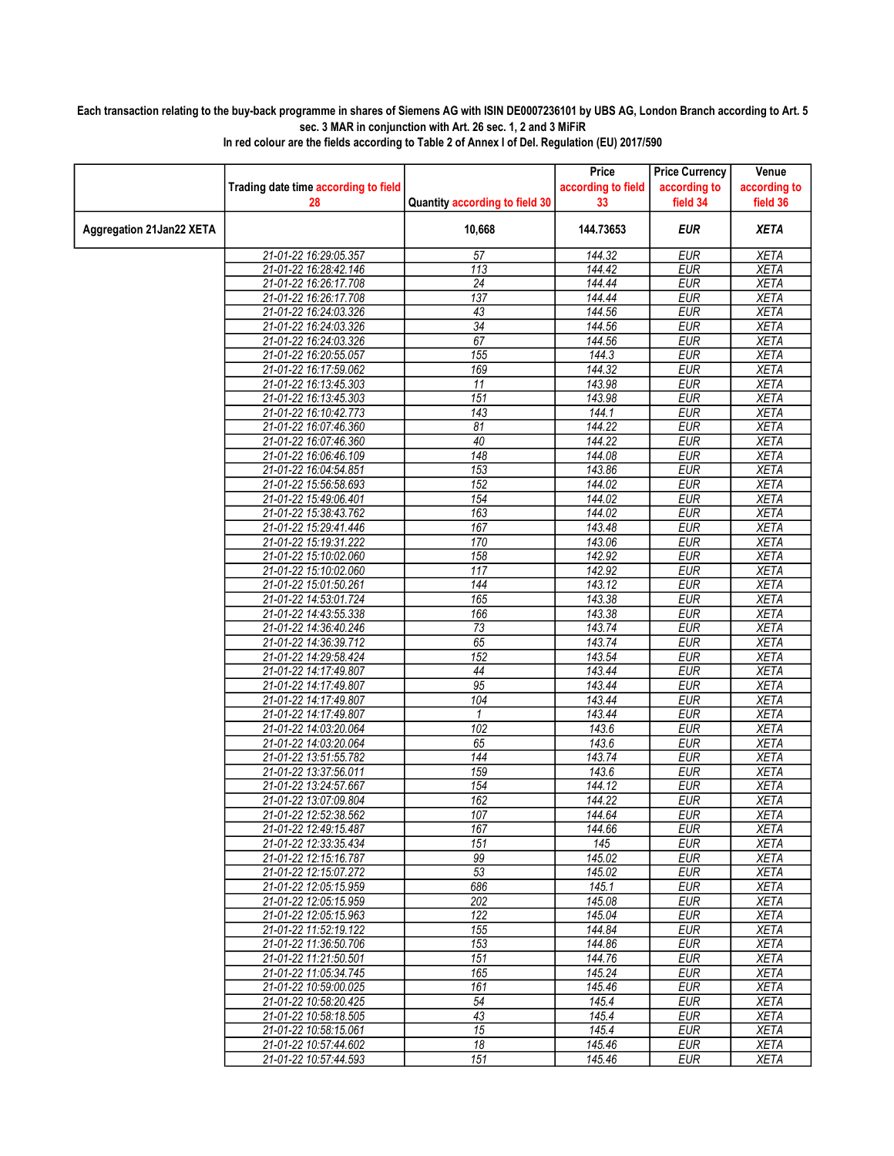## Each transaction relating to the buy-back programme in shares of Siemens AG with ISIN DE0007236101 by UBS AG, London Branch according to Art. 5 sec. 3 MAR in conjunction with Art. 26 sec. 1, 2 and 3 MiFiR

|                          |                                      |                                | Price              | <b>Price Currency</b> | Venue                      |
|--------------------------|--------------------------------------|--------------------------------|--------------------|-----------------------|----------------------------|
|                          | Trading date time according to field |                                | according to field | according to          | according to               |
|                          | 28                                   | Quantity according to field 30 | 33                 | field 34              | field 36                   |
| Aggregation 21Jan22 XETA |                                      | 10,668                         | 144.73653          | <b>EUR</b>            | <b>XETA</b>                |
|                          | 21-01-22 16:29:05.357                | 57                             | 144.32             | <b>EUR</b>            | <b>XETA</b>                |
|                          | 21-01-22 16:28:42.146                | 113                            | 144.42             | <b>EUR</b>            | <b>XETA</b>                |
|                          | 21-01-22 16:26:17.708                | $\overline{24}$                | 144.44             | <b>EUR</b>            | <b>XETA</b>                |
|                          | 21-01-22 16:26:17.708                | 137                            | 144.44             | <b>EUR</b>            | <b>XETA</b>                |
|                          | 21-01-22 16:24:03.326                | 43                             | 144.56             | <b>EUR</b>            | <b>XETA</b>                |
|                          | 21-01-22 16:24:03.326                | $\overline{34}$                | 144.56             | EUR                   | <b>XETA</b>                |
|                          | 21-01-22 16:24:03.326                | 67                             | 144.56             | <b>EUR</b>            | <b>XETA</b>                |
|                          | 21-01-22 16:20:55.057                | 155                            | 144.3              | <b>EUR</b>            | <b>XETA</b>                |
|                          | 21-01-22 16:17:59.062                | 169                            | 144.32             | <b>EUR</b>            | <b>XETA</b>                |
|                          | 21-01-22 16:13:45.303                | 11                             | 143.98             | <b>EUR</b>            | <b>XETA</b>                |
|                          | 21-01-22 16:13:45.303                | 151                            | 143.98             | <b>EUR</b>            | <b>XETA</b>                |
|                          | 21-01-22 16:10:42.773                | 143                            | 144.1              | <b>EUR</b>            | <b>XETA</b>                |
|                          | 21-01-22 16:07:46.360                | 81                             | 144.22             | <b>EUR</b>            | <b>XETA</b>                |
|                          | 21-01-22 16:07:46.360                | 40                             | 144.22             | <b>EUR</b>            | <b>XETA</b>                |
|                          | 21-01-22 16:06:46.109                | 148                            | 144.08             | <b>EUR</b>            | <b>XETA</b>                |
|                          | 21-01-22 16:04:54.851                | 153                            | 143.86             | <b>EUR</b>            | <b>XETA</b>                |
|                          | 21-01-22 15:56:58.693                | 152                            | 144.02             | <b>EUR</b>            | <b>XETA</b>                |
|                          | 21-01-22 15:49:06.401                | 154                            | 144.02             | <b>EUR</b>            | <b>XETA</b>                |
|                          | 21-01-22 15:38:43.762                | 163                            | 144.02             | <b>EUR</b>            | <b>XETA</b>                |
|                          | 21-01-22 15:29:41.446                | 167                            | 143.48             | <b>EUR</b>            | <b>XETA</b>                |
|                          | 21-01-22 15:19:31.222                | 170                            | 143.06             | <b>EUR</b>            | <b>XETA</b>                |
|                          | 21-01-22 15:10:02.060                | 158                            | 142.92             | <b>EUR</b>            | <b>XETA</b>                |
|                          | 21-01-22 15:10:02.060                | 117                            | 142.92             | <b>EUR</b>            | <b>XETA</b>                |
|                          | 21-01-22 15:01:50.261                | 144                            | 143.12             | <b>EUR</b>            | <b>XETA</b>                |
|                          | 21-01-22 14:53:01.724                | 165                            | 143.38             | <b>EUR</b>            | <b>XETA</b>                |
|                          | 21-01-22 14:43:55.338                | 166                            | 143.38             | <b>EUR</b>            | <b>XETA</b>                |
|                          | 21-01-22 14:36:40.246                | 73                             | 143.74             | <b>EUR</b>            | <b>XETA</b>                |
|                          | 21-01-22 14:36:39.712                | 65                             | 143.74             | <b>EUR</b>            | <b>XETA</b>                |
|                          | 21-01-22 14:29:58.424                | 152                            | 143.54             | <b>EUR</b>            | <b>XETA</b>                |
|                          | 21-01-22 14:17:49.807                | 44                             | 143.44             | <b>EUR</b>            | <b>XETA</b>                |
|                          | 21-01-22 14:17:49.807                | 95                             | 143.44             | EUR                   | <b>XETA</b>                |
|                          | 21-01-22 14:17:49.807                | 104                            | 143.44             | <b>EUR</b>            | <b>XETA</b>                |
|                          | 21-01-22 14:17:49.807                | 1                              | 143.44             | <b>EUR</b>            | <b>XETA</b>                |
|                          | 21-01-22 14:03:20.064                | 102                            | 143.6              | <b>EUR</b>            | <b>XETA</b>                |
|                          | 21-01-22 14:03:20.064                | 65                             | 143.6              | <b>EUR</b>            | <b>XETA</b>                |
|                          | 21-01-22 13:51:55.782                | 144                            | 143.74             | <b>EUR</b>            | <b>XETA</b>                |
|                          | 21-01-22 13:37:56.011                | 159                            | 143.6              | <b>EUR</b>            | <b>XETA</b>                |
|                          | 21-01-22 13:24:57.667                | 154                            | 144.12             | <b>EUR</b>            | <b>XETA</b>                |
|                          | 21-01-22 13:07:09.804                | 162                            | 144.22             | <b>EUR</b>            | <b>XETA</b>                |
|                          | 21-01-22 12:52:38.562                | 107                            | 144.64             | <b>EUR</b>            | <b>XETA</b>                |
|                          | 21-01-22 12:49:15.487                | 167                            | 144.66             | <b>EUR</b>            | XETA                       |
|                          | 21-01-22 12:33:35.434                | 151                            | 145                | <b>EUR</b>            | <b>XETA</b>                |
|                          | 21-01-22 12:15:16.787                | 99                             | 145.02             | <b>EUR</b>            | <b>XETA</b>                |
|                          | 21-01-22 12:15:07.272                | 53                             | 145.02             | <b>EUR</b>            | <b>XETA</b>                |
|                          | 21-01-22 12:05:15.959                | 686                            | 145.1              | <b>EUR</b>            | <b>XETA</b>                |
|                          | 21-01-22 12:05:15.959                | 202                            | 145.08             | <b>EUR</b>            | <b>XETA</b>                |
|                          | 21-01-22 12:05:15.963                | 122                            | 145.04             | <b>EUR</b>            | <b>XETA</b>                |
|                          | 21-01-22 11:52:19.122                | 155                            | 144.84             | <b>EUR</b>            | <b>XETA</b>                |
|                          |                                      |                                | 144.86             | <b>EUR</b>            |                            |
|                          | 21-01-22 11:36:50.706                | 153<br>151                     | 144.76             | <b>EUR</b>            | <b>XETA</b><br><b>XETA</b> |
|                          | 21-01-22 11:21:50.501                |                                |                    |                       |                            |
|                          | 21-01-22 11:05:34.745                | 165                            | 145.24             | <b>EUR</b>            | <b>XETA</b>                |
|                          | 21-01-22 10:59:00.025                | 161                            | 145.46             | <b>EUR</b>            | <b>XETA</b>                |
|                          | 21-01-22 10:58:20.425                | 54                             | 145.4              | <b>EUR</b>            | <b>XETA</b>                |
|                          | 21-01-22 10:58:18.505                | 43                             | 145.4              | <b>EUR</b>            | XETA                       |
|                          | 21-01-22 10:58:15.061                | 15                             | 145.4              | <b>EUR</b>            | <b>XETA</b>                |
|                          | 21-01-22 10:57:44.602                | 18                             | 145.46             | <b>EUR</b>            | <b>XETA</b>                |
|                          | 21-01-22 10:57:44.593                | 151                            | 145.46             | <b>EUR</b>            | XETA                       |

In red colour are the fields according to Table 2 of Annex I of Del. Regulation (EU) 2017/590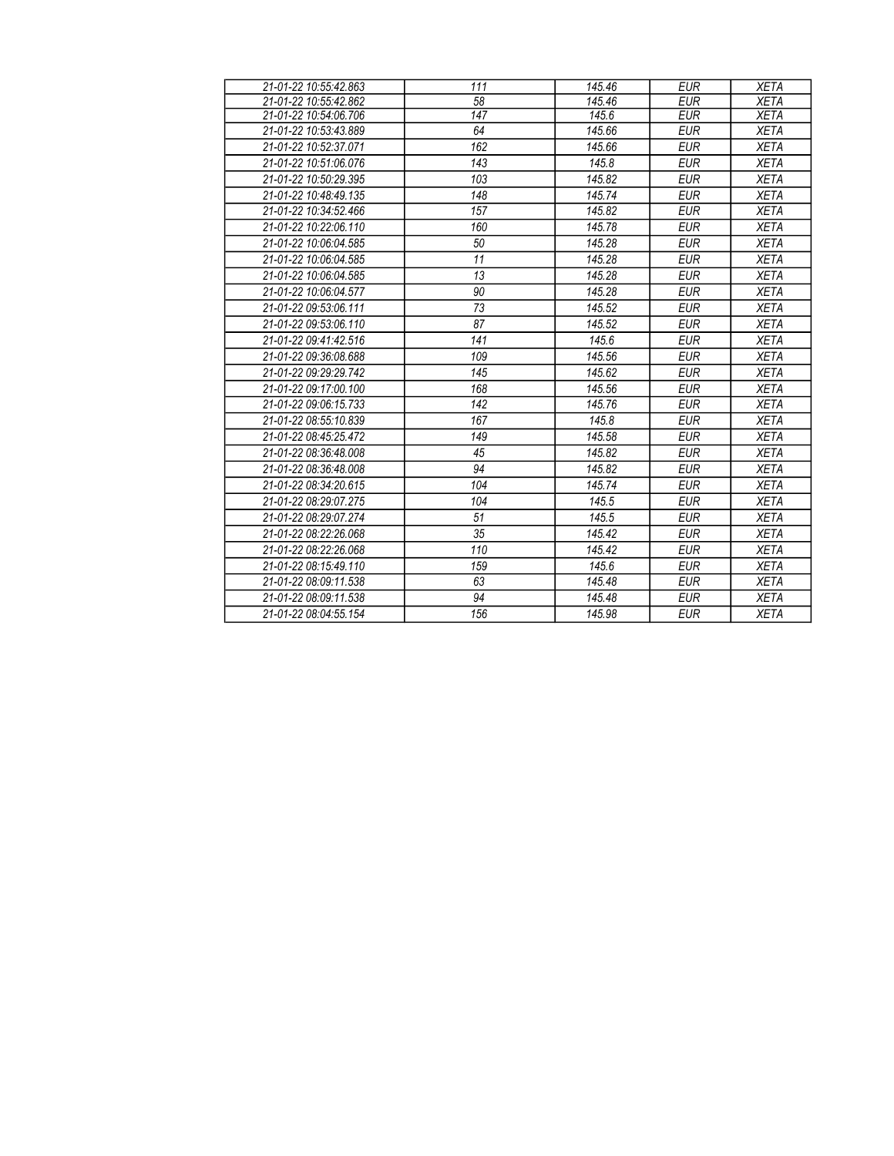| 21-01-22 10:55:42.863 | 111 | 145.46 | <b>EUR</b> | <b>XETA</b> |
|-----------------------|-----|--------|------------|-------------|
| 21-01-22 10:55:42.862 | 58  | 145.46 | <b>EUR</b> | <b>XETA</b> |
| 21-01-22 10:54:06.706 | 147 | 145.6  | <b>EUR</b> | <b>XETA</b> |
| 21-01-22 10:53:43.889 | 64  | 145.66 | <b>EUR</b> | <b>XETA</b> |
| 21-01-22 10:52:37.071 | 162 | 145.66 | <b>EUR</b> | <b>XETA</b> |
| 21-01-22 10:51:06.076 | 143 | 145.8  | <b>EUR</b> | <b>XETA</b> |
| 21-01-22 10:50:29.395 | 103 | 145.82 | <b>EUR</b> | <b>XETA</b> |
| 21-01-22 10:48:49 135 | 148 | 145.74 | <b>EUR</b> | <b>XETA</b> |
| 21-01-22 10:34:52.466 | 157 | 145.82 | <b>EUR</b> | <b>XETA</b> |
| 21-01-22 10:22:06.110 | 160 | 145.78 | <b>EUR</b> | <b>XETA</b> |
| 21-01-22 10:06:04.585 | 50  | 145.28 | <b>EUR</b> | <b>XETA</b> |
| 21-01-22 10:06:04.585 | 11  | 145.28 | <b>EUR</b> | <b>XETA</b> |
| 21-01-22 10:06:04.585 | 13  | 145.28 | <b>EUR</b> | <b>XETA</b> |
| 21-01-22 10:06:04.577 | 90  | 145.28 | <b>EUR</b> | <b>XETA</b> |
| 21-01-22 09:53:06.111 | 73  | 145.52 | <b>EUR</b> | <b>XETA</b> |
| 21-01-22 09:53:06.110 | 87  | 145.52 | <b>EUR</b> | <b>XETA</b> |
| 21-01-22 09:41:42.516 | 141 | 145.6  | <b>EUR</b> | <b>XETA</b> |
| 21-01-22 09:36:08.688 | 109 | 145.56 | <b>EUR</b> | <b>XETA</b> |
| 21-01-22 09:29:29.742 | 145 | 145.62 | <b>EUR</b> | <b>XETA</b> |
| 21-01-22 09:17:00.100 | 168 | 145.56 | <b>EUR</b> | <b>XETA</b> |
| 21-01-22 09:06:15.733 | 142 | 145.76 | <b>EUR</b> | <b>XETA</b> |
| 21-01-22 08:55:10.839 | 167 | 145.8  | <b>EUR</b> | <b>XETA</b> |
| 21-01-22 08:45:25.472 | 149 | 145.58 | <b>EUR</b> | <b>XETA</b> |
| 21-01-22 08:36:48.008 | 45  | 145.82 | <b>EUR</b> | <b>XETA</b> |
| 21-01-22 08:36:48.008 | 94  | 145.82 | <b>EUR</b> | <b>XETA</b> |
| 21-01-22 08:34:20.615 | 104 | 145.74 | <b>EUR</b> | <b>XETA</b> |
| 21-01-22 08:29:07.275 | 104 | 145.5  | <b>EUR</b> | <b>XETA</b> |
| 21-01-22 08:29:07.274 | 51  | 145.5  | <b>EUR</b> | <b>XETA</b> |
| 21-01-22 08:22:26.068 | 35  | 145.42 | <b>EUR</b> | <b>XETA</b> |
| 21-01-22 08:22:26.068 | 110 | 145.42 | <b>EUR</b> | <b>XETA</b> |
| 21-01-22 08:15:49.110 | 159 | 145.6  | <b>EUR</b> | <b>XETA</b> |
| 21-01-22 08:09:11.538 | 63  | 145.48 | <b>EUR</b> | <b>XETA</b> |
| 21-01-22 08:09:11.538 | 94  | 145.48 | <b>EUR</b> | <b>XETA</b> |
| 21-01-22 08:04:55.154 | 156 | 145.98 | <b>EUR</b> | <b>XETA</b> |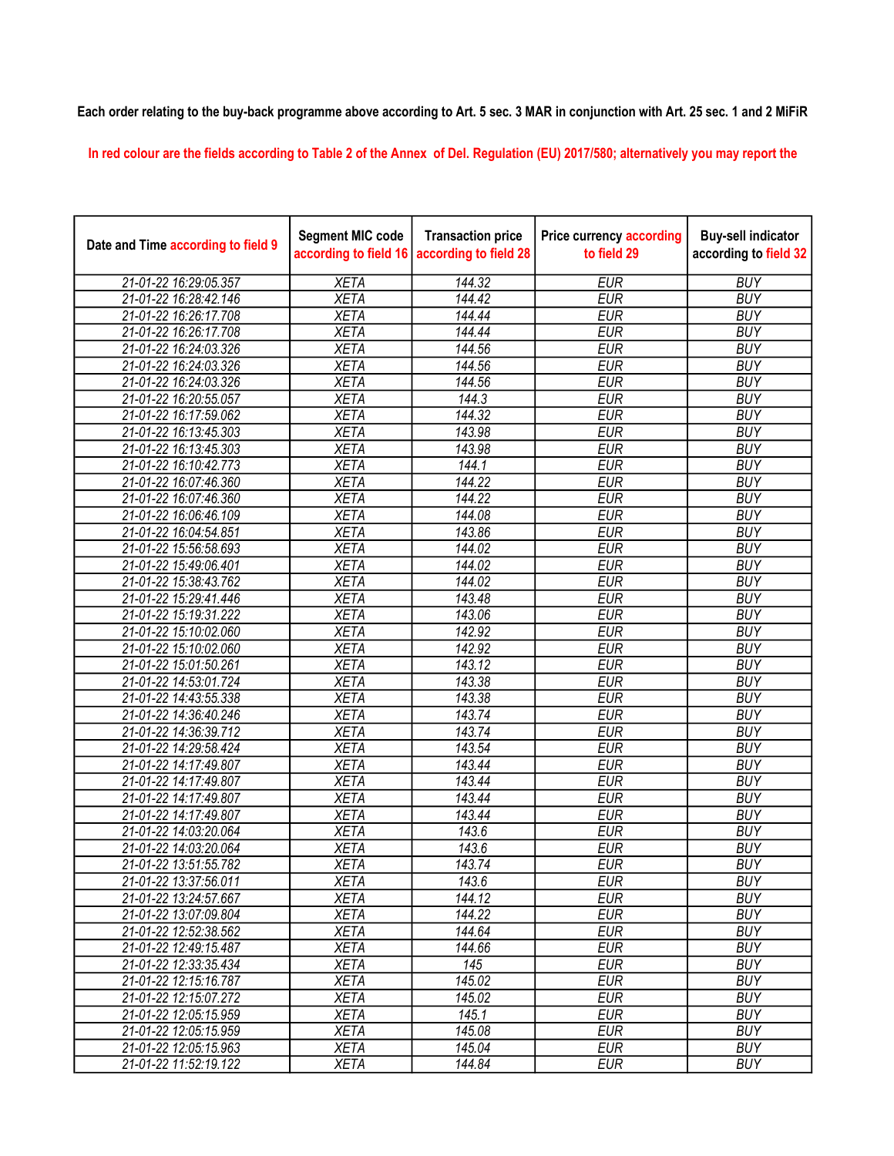## Each order relating to the buy-back programme above according to Art. 5 sec. 3 MAR in conjunction with Art. 25 sec. 1 and 2 MiFiR

In red colour are the fields according to Table 2 of the Annex of Del. Regulation (EU) 2017/580; alternatively you may report the

| Date and Time according to field 9 | <b>Segment MIC code</b><br>according to field 16 | <b>Transaction price</b><br>according to field 28 | <b>Price currency according</b><br>to field 29 | <b>Buy-sell indicator</b><br>according to field 32 |
|------------------------------------|--------------------------------------------------|---------------------------------------------------|------------------------------------------------|----------------------------------------------------|
| 21-01-22 16:29:05.357              | <b>XETA</b>                                      | 144.32                                            | <b>EUR</b>                                     | <b>BUY</b>                                         |
| 21-01-22 16:28:42.146              | <b>XETA</b>                                      | 144.42                                            | <b>EUR</b>                                     | <b>BUY</b>                                         |
| 21-01-22 16:26:17.708              | <b>XETA</b>                                      | 144.44                                            | <b>EUR</b>                                     | <b>BUY</b>                                         |
| 21-01-22 16:26:17.708              | <b>XETA</b>                                      | 144.44                                            | <b>EUR</b>                                     | <b>BUY</b>                                         |
| 21-01-22 16:24:03.326              | <b>XETA</b>                                      | 144.56                                            | <b>EUR</b>                                     | <b>BUY</b>                                         |
| 21-01-22 16:24:03.326              | <b>XETA</b>                                      | 144.56                                            | <b>EUR</b>                                     | <b>BUY</b>                                         |
| 21-01-22 16:24:03.326              | <b>XETA</b>                                      | 144.56                                            | <b>EUR</b>                                     | <b>BUY</b>                                         |
| 21-01-22 16:20:55.057              | <b>XETA</b>                                      | 144.3                                             | <b>EUR</b>                                     | <b>BUY</b>                                         |
| 21-01-22 16:17:59.062              | <b>XETA</b>                                      | 144.32                                            | <b>EUR</b>                                     | <b>BUY</b>                                         |
| 21-01-22 16:13:45.303              | <b>XETA</b>                                      | 143.98                                            | <b>EUR</b>                                     | <b>BUY</b>                                         |
| 21-01-22 16:13:45.303              | <b>XETA</b>                                      | 143.98                                            | <b>EUR</b>                                     | <b>BUY</b>                                         |
| 21-01-22 16:10:42.773              | <b>XETA</b>                                      | 144.1                                             | <b>EUR</b>                                     | <b>BUY</b>                                         |
| 21-01-22 16:07:46.360              | <b>XETA</b>                                      | 144.22                                            | <b>EUR</b>                                     | <b>BUY</b>                                         |
| 21-01-22 16:07:46.360              | <b>XETA</b>                                      | 144.22                                            | <b>EUR</b>                                     | <b>BUY</b>                                         |
| 21-01-22 16:06:46.109              | <b>XETA</b>                                      | 144.08                                            | <b>EUR</b>                                     | <b>BUY</b>                                         |
| 21-01-22 16:04:54.851              | <b>XETA</b>                                      | 143.86                                            | <b>EUR</b>                                     | <b>BUY</b>                                         |
| 21-01-22 15:56:58.693              | <b>XETA</b>                                      | 144.02                                            | <b>EUR</b>                                     | <b>BUY</b>                                         |
| 21-01-22 15:49:06.401              | <b>XETA</b>                                      | 144.02                                            | <b>EUR</b>                                     | <b>BUY</b>                                         |
| 21-01-22 15:38:43.762              | <b>XETA</b>                                      | 144.02                                            | <b>EUR</b>                                     | <b>BUY</b>                                         |
| 21-01-22 15:29:41.446              | <b>XETA</b>                                      | 143.48                                            | <b>EUR</b>                                     | <b>BUY</b>                                         |
| 21-01-22 15:19:31.222              | <b>XETA</b>                                      | 143.06                                            | <b>EUR</b>                                     | <b>BUY</b>                                         |
| 21-01-22 15:10:02.060              | <b>XETA</b>                                      | 142.92                                            | <b>EUR</b>                                     | <b>BUY</b>                                         |
| 21-01-22 15:10:02.060              | <b>XETA</b>                                      | 142.92                                            | <b>EUR</b>                                     | <b>BUY</b>                                         |
| 21-01-22 15:01:50.261              | <b>XETA</b>                                      | 143.12                                            | <b>EUR</b>                                     | <b>BUY</b>                                         |
| 21-01-22 14:53:01.724              | <b>XETA</b>                                      | 143.38                                            | <b>EUR</b>                                     | <b>BUY</b>                                         |
| 21-01-22 14:43:55.338              | <b>XETA</b>                                      | 143.38                                            | <b>EUR</b>                                     | <b>BUY</b>                                         |
| 21-01-22 14:36:40.246              | <b>XETA</b>                                      | 143.74                                            | <b>EUR</b>                                     | <b>BUY</b>                                         |
| 21-01-22 14:36:39.712              | <b>XETA</b>                                      | 143.74                                            | <b>EUR</b>                                     | <b>BUY</b>                                         |
| 21-01-22 14:29:58.424              | <b>XETA</b>                                      | 143.54                                            | <b>EUR</b>                                     | <b>BUY</b>                                         |
| 21-01-22 14:17:49.807              | <b>XETA</b>                                      | 143.44                                            | <b>EUR</b>                                     | <b>BUY</b>                                         |
| 21-01-22 14:17:49.807              | <b>XETA</b>                                      | 143.44                                            | <b>EUR</b>                                     | <b>BUY</b>                                         |
| 21-01-22 14:17:49.807              | <b>XETA</b>                                      | 143.44                                            | <b>EUR</b>                                     | <b>BUY</b>                                         |
| 21-01-22 14:17:49.807              | <b>XETA</b>                                      | 143.44                                            | <b>EUR</b>                                     | <b>BUY</b>                                         |
| 21-01-22 14:03:20.064              | <b>XETA</b>                                      | 143.6                                             | <b>EUR</b>                                     | <b>BUY</b>                                         |
| 21-01-22 14:03:20.064              | <b>XETA</b>                                      | 143.6                                             | <b>EUR</b>                                     | <b>BUY</b>                                         |
| 21-01-22 13:51:55.782              | <b>XETA</b>                                      | 143.74                                            | <b>EUR</b>                                     | <b>BUY</b>                                         |
| 21-01-22 13:37:56.011              | XETA                                             | 143.6                                             | EUR                                            | <b>BUY</b>                                         |
| 21-01-22 13:24:57.667              | <b>XETA</b>                                      | 144.12                                            | <b>EUR</b>                                     | <b>BUY</b>                                         |
| 21-01-22 13:07:09.804              | <b>XETA</b>                                      | 144.22                                            | <b>EUR</b>                                     | <b>BUY</b>                                         |
| 21-01-22 12:52:38.562              | <b>XETA</b>                                      | 144.64                                            | <b>EUR</b>                                     | <b>BUY</b>                                         |
| 21-01-22 12:49:15.487              | <b>XETA</b>                                      | 144.66                                            | <b>EUR</b>                                     | <b>BUY</b>                                         |
| 21-01-22 12:33:35.434              | <b>XETA</b>                                      | 145                                               | <b>EUR</b>                                     | <b>BUY</b>                                         |
| 21-01-22 12:15:16.787              | <b>XETA</b>                                      | 145.02                                            | <b>EUR</b>                                     | <b>BUY</b>                                         |
| 21-01-22 12:15:07.272              | <b>XETA</b>                                      | 145.02                                            | <b>EUR</b>                                     | <b>BUY</b>                                         |
| 21-01-22 12:05:15.959              | <b>XETA</b>                                      | 145.1                                             | <b>EUR</b>                                     | <b>BUY</b>                                         |
| 21-01-22 12:05:15.959              | <b>XETA</b>                                      | 145.08                                            | <b>EUR</b>                                     | <b>BUY</b>                                         |
| 21-01-22 12:05:15.963              | <b>XETA</b>                                      | 145.04                                            | EUR                                            | <b>BUY</b>                                         |
| 21-01-22 11:52:19.122              | <b>XETA</b>                                      | 144.84                                            | <b>EUR</b>                                     | <b>BUY</b>                                         |